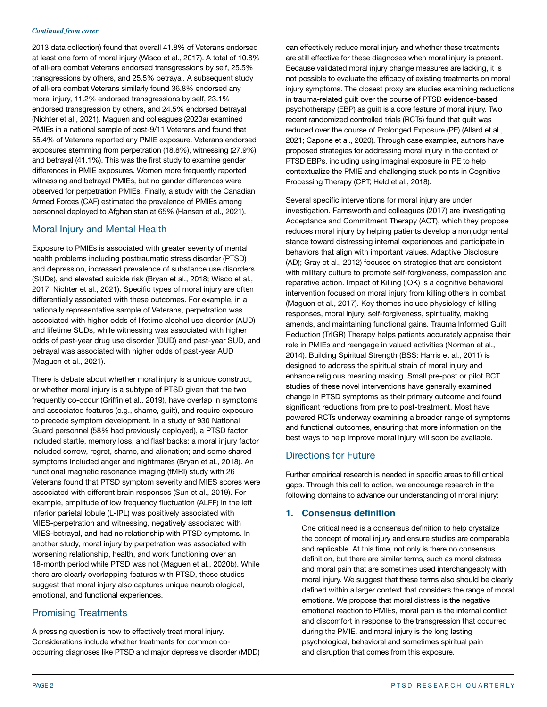#### *Continued from cover*

2013 data collection) found that overall 41.8% of Veterans endorsed at least one form of moral injury (Wisco et al., 2017). A total of 10.8% of all-era combat Veterans endorsed transgressions by self, 25.5% transgressions by others, and 25.5% betrayal. A subsequent study of all-era combat Veterans similarly found 36.8% endorsed any moral injury, 11.2% endorsed transgressions by self, 23.1% endorsed transgression by others, and 24.5% endorsed betrayal (Nichter et al., 2021). Maguen and colleagues (2020a) examined PMIEs in a national sample of post-9/11 Veterans and found that 55.4% of Veterans reported any PMIE exposure. Veterans endorsed exposures stemming from perpetration (18.8%), witnessing (27.9%) and betrayal (41.1%). This was the first study to examine gender differences in PMIE exposures. Women more frequently reported witnessing and betrayal PMIEs, but no gender differences were observed for perpetration PMIEs. Finally, a study with the Canadian Armed Forces (CAF) estimated the prevalence of PMIEs among personnel deployed to Afghanistan at 65% (Hansen et al., 2021).

# Moral Injury and Mental Health

Exposure to PMIEs is associated with greater severity of mental health problems including posttraumatic stress disorder (PTSD) and depression, increased prevalence of substance use disorders (SUDs), and elevated suicide risk (Bryan et al., 2018; Wisco et al., 2017; Nichter et al., 2021). Specific types of moral injury are often differentially associated with these outcomes. For example, in a nationally representative sample of Veterans, perpetration was associated with higher odds of lifetime alcohol use disorder (AUD) and lifetime SUDs, while witnessing was associated with higher odds of past-year drug use disorder (DUD) and past-year SUD, and betrayal was associated with higher odds of past-year AUD (Maguen et al., 2021).

There is debate about whether moral injury is a unique construct, or whether moral injury is a subtype of PTSD given that the two frequently co-occur (Griffin et al., 2019), have overlap in symptoms and associated features (e.g., shame, guilt), and require exposure to precede symptom development. In a study of 930 National Guard personnel (58% had previously deployed), a PTSD factor included startle, memory loss, and flashbacks; a moral injury factor included sorrow, regret, shame, and alienation; and some shared symptoms included anger and nightmares (Bryan et al., 2018). An functional magnetic resonance imaging (fMRI) study with 26 Veterans found that PTSD symptom severity and MIES scores were associated with different brain responses (Sun et al., 2019). For example, amplitude of low frequency fluctuation (ALFF) in the left inferior parietal lobule (L-IPL) was positively associated with MIES-perpetration and witnessing, negatively associated with MIES-betrayal, and had no relationship with PTSD symptoms. In another study, moral injury by perpetration was associated with worsening relationship, health, and work functioning over an 18-month period while PTSD was not (Maguen et al., 2020b). While there are clearly overlapping features with PTSD, these studies suggest that moral injury also captures unique neurobiological, emotional, and functional experiences.

# Promising Treatments

A pressing question is how to effectively treat moral injury. Considerations include whether treatments for common cooccurring diagnoses like PTSD and major depressive disorder (MDD)

can effectively reduce moral injury and whether these treatments are still effective for these diagnoses when moral injury is present. Because validated moral injury change measures are lacking, it is not possible to evaluate the efficacy of existing treatments on moral injury symptoms. The closest proxy are studies examining reductions in trauma-related guilt over the course of PTSD evidence-based psychotherapy (EBP) as guilt is a core feature of moral injury. Two recent randomized controlled trials (RCTs) found that guilt was reduced over the course of Prolonged Exposure (PE) (Allard et al., 2021; Capone et al., 2020). Through case examples, authors have proposed strategies for addressing moral injury in the context of PTSD EBPs, including using imaginal exposure in PE to help contextualize the PMIE and challenging stuck points in Cognitive Processing Therapy (CPT; Held et al., 2018).

Several specific interventions for moral injury are under investigation. Farnsworth and colleagues (2017) are investigating Acceptance and Commitment Therapy (ACT), which they propose reduces moral injury by helping patients develop a nonjudgmental stance toward distressing internal experiences and participate in behaviors that align with important values. Adaptive Disclosure (AD); Gray et al., 2012) focuses on strategies that are consistent with military culture to promote self-forgiveness, compassion and reparative action. Impact of Killing (IOK) is a cognitive behavioral intervention focused on moral injury from killing others in combat (Maguen et al., 2017). Key themes include physiology of killing responses, moral injury, self-forgiveness, spirituality, making amends, and maintaining functional gains. Trauma Informed Guilt Reduction (TrIGR) Therapy helps patients accurately appraise their role in PMIEs and reengage in valued activities (Norman et al., 2014). Building Spiritual Strength (BSS: Harris et al., 2011) is designed to address the spiritual strain of moral injury and enhance religious meaning making. Small pre-post or pilot RCT studies of these novel interventions have generally examined change in PTSD symptoms as their primary outcome and found significant reductions from pre to post-treatment. Most have powered RCTs underway examining a broader range of symptoms and functional outcomes, ensuring that more information on the best ways to help improve moral injury will soon be available.

# Directions for Future

Further empirical research is needed in specific areas to fill critical gaps. Through this call to action, we encourage research in the following domains to advance our understanding of moral injury:

# **1. Consensus definition**

One critical need is a consensus definition to help crystalize the concept of moral injury and ensure studies are comparable and replicable. At this time, not only is there no consensus definition, but there are similar terms, such as moral distress and moral pain that are sometimes used interchangeably with moral injury. We suggest that these terms also should be clearly defined within a larger context that considers the range of moral emotions. We propose that moral distress is the negative emotional reaction to PMIEs, moral pain is the internal conflict and discomfort in response to the transgression that occurred during the PMIE, and moral injury is the long lasting psychological, behavioral and sometimes spiritual pain and disruption that comes from this exposure.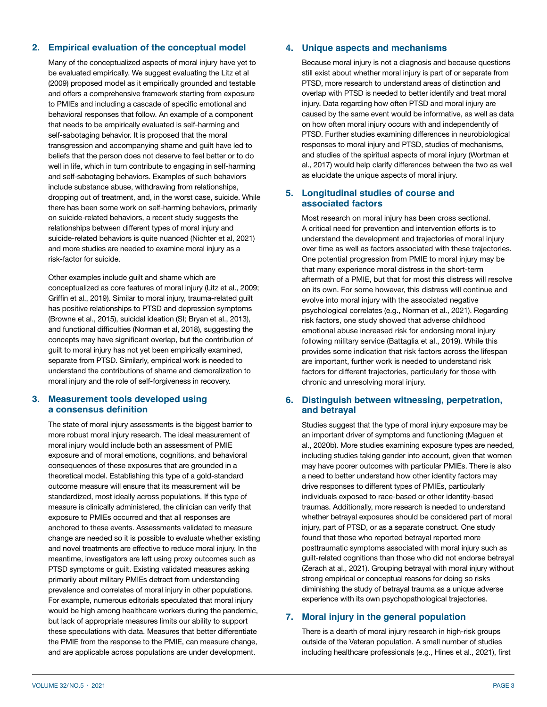### **2. Empirical evaluation of the conceptual model**

Many of the conceptualized aspects of moral injury have yet to be evaluated empirically. We suggest evaluating the Litz et al (2009) proposed model as it empirically grounded and testable and offers a comprehensive framework starting from exposure to PMIEs and including a cascade of specific emotional and behavioral responses that follow. An example of a component that needs to be empirically evaluated is self-harming and self-sabotaging behavior. It is proposed that the moral transgression and accompanying shame and guilt have led to beliefs that the person does not deserve to feel better or to do well in life, which in turn contribute to engaging in self-harming and self-sabotaging behaviors. Examples of such behaviors include substance abuse, withdrawing from relationships, dropping out of treatment, and, in the worst case, suicide. While there has been some work on self-harming behaviors, primarily on suicide-related behaviors, a recent study suggests the relationships between different types of moral injury and suicide-related behaviors is quite nuanced (Nichter et al, 2021) and more studies are needed to examine moral injury as a risk-factor for suicide.

Other examples include guilt and shame which are conceptualized as core features of moral injury (Litz et al., 2009; Griffin et al., 2019). Similar to moral injury, trauma-related guilt has positive relationships to PTSD and depression symptoms (Browne et al., 2015), suicidal ideation (SI; Bryan et al., 2013), and functional difficulties (Norman et al, 2018), suggesting the concepts may have significant overlap, but the contribution of guilt to moral injury has not yet been empirically examined, separate from PTSD. Similarly, empirical work is needed to understand the contributions of shame and demoralization to moral injury and the role of self-forgiveness in recovery.

### **3. Measurement tools developed using a consensus definition**

The state of moral injury assessments is the biggest barrier to more robust moral injury research. The ideal measurement of moral injury would include both an assessment of PMIE exposure and of moral emotions, cognitions, and behavioral consequences of these exposures that are grounded in a theoretical model. Establishing this type of a gold-standard outcome measure will ensure that its measurement will be standardized, most ideally across populations. If this type of measure is clinically administered, the clinician can verify that exposure to PMIEs occurred and that all responses are anchored to these events. Assessments validated to measure change are needed so it is possible to evaluate whether existing and novel treatments are effective to reduce moral injury. In the meantime, investigators are left using proxy outcomes such as PTSD symptoms or guilt. Existing validated measures asking primarily about military PMIEs detract from understanding prevalence and correlates of moral injury in other populations. For example, numerous editorials speculated that moral injury would be high among healthcare workers during the pandemic. but lack of appropriate measures limits our ability to support these speculations with data. Measures that better differentiate the PMIE from the response to the PMIE, can measure change, and are applicable across populations are under development.

## **4. Unique aspects and mechanisms**

Because moral injury is not a diagnosis and because questions still exist about whether moral injury is part of or separate from PTSD, more research to understand areas of distinction and overlap with PTSD is needed to better identify and treat moral injury. Data regarding how often PTSD and moral injury are caused by the same event would be informative, as well as data on how often moral injury occurs with and independently of PTSD. Further studies examining differences in neurobiological responses to moral injury and PTSD, studies of mechanisms, and studies of the spiritual aspects of moral injury (Wortman et al., 2017) would help clarify differences between the two as well as elucidate the unique aspects of moral injury.

## **5. Longitudinal studies of course and associated factors**

Most research on moral injury has been cross sectional. A critical need for prevention and intervention efforts is to understand the development and trajectories of moral injury over time as well as factors associated with these trajectories. One potential progression from PMIE to moral injury may be that many experience moral distress in the short-term aftermath of a PMIE, but that for most this distress will resolve on its own. For some however, this distress will continue and evolve into moral injury with the associated negative psychological correlates (e.g., Norman et al., 2021). Regarding risk factors, one study showed that adverse childhood emotional abuse increased risk for endorsing moral injury following military service (Battaglia et al., 2019). While this provides some indication that risk factors across the lifespan are important, further work is needed to understand risk factors for different trajectories, particularly for those with chronic and unresolving moral injury.

### **6. Distinguish between witnessing, perpetration, and betrayal**

Studies suggest that the type of moral injury exposure may be an important driver of symptoms and functioning (Maguen et al., 2020b). More studies examining exposure types are needed, including studies taking gender into account, given that women may have poorer outcomes with particular PMIEs. There is also a need to better understand how other identity factors may drive responses to different types of PMIEs, particularly individuals exposed to race-based or other identity-based traumas. Additionally, more research is needed to understand whether betrayal exposures should be considered part of moral injury, part of PTSD, or as a separate construct. One study found that those who reported betrayal reported more posttraumatic symptoms associated with moral injury such as guilt-related cognitions than those who did not endorse betrayal (Zerach at al., 2021). Grouping betrayal with moral injury without strong empirical or conceptual reasons for doing so risks diminishing the study of betrayal trauma as a unique adverse experience with its own psychopathological trajectories.

## **7. Moral injury in the general population**

There is a dearth of moral injury research in high-risk groups outside of the Veteran population. A small number of studies including healthcare professionals (e.g., Hines et al., 2021), first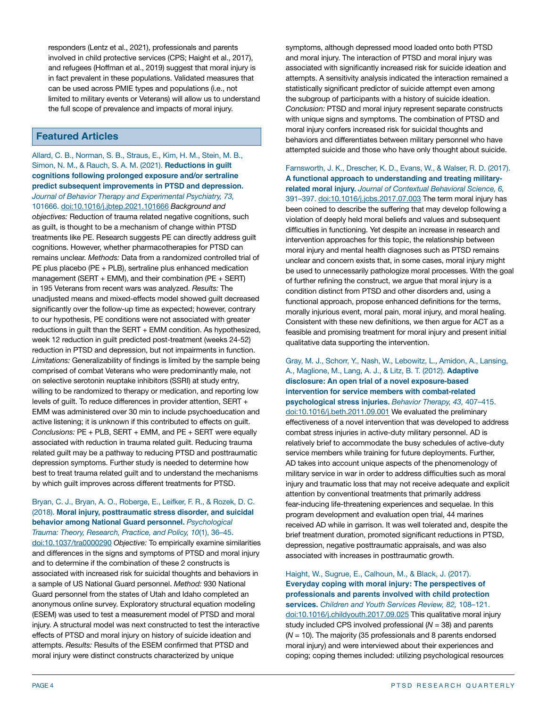responders (Lentz et al., 2021), professionals and parents involved in child protective services (CPS; Haight et al., 2017), and refugees (Hoffman et al., 2019) suggest that moral injury is in fact prevalent in these populations. Validated measures that can be used across PMIE types and populations (i.e., not limited to military events or Veterans) will allow us to understand the full scope of prevalence and impacts of moral injury.

# **Featured Articles**

Allard, C. B., Norman, S. B., Straus, E., Kim, H. M., Stein, M. B., Simon, N. M., & Rauch, S. A. M. (2021). **Reductions in guilt cognitions following prolonged exposure and/or sertraline predict subsequent improvements in PTSD and depression.**  *Journal of Behavior Therapy and Experimental Psychiatry, 73,*  101666. [doi:10.1016/j.jbtep.2021.101666](https://doi.org/10.1016/j.jbtep.2021.101666) *Background and objectives:* Reduction of trauma related negative cognitions, such as guilt, is thought to be a mechanism of change within PTSD treatments like PE. Research suggests PE can directly address guilt cognitions. However, whether pharmacotherapies for PTSD can remains unclear. *Methods:* Data from a randomized controlled trial of PE plus placebo (PE + PLB), sertraline plus enhanced medication management (SERT  $+$  EMM), and their combination (PE  $+$  SERT) in 195 Veterans from recent wars was analyzed. *Results:* The unadjusted means and mixed-effects model showed guilt decreased significantly over the follow-up time as expected; however, contrary to our hypothesis, PE conditions were not associated with greater reductions in guilt than the SERT + EMM condition. As hypothesized, week 12 reduction in guilt predicted post-treatment (weeks 24-52) reduction in PTSD and depression, but not impairments in function. *Limitations:* Generalizability of findings is limited by the sample being comprised of combat Veterans who were predominantly male, not on selective serotonin reuptake inhibitors (SSRI) at study entry, willing to be randomized to therapy or medication, and reporting low levels of guilt. To reduce differences in provider attention, SERT + EMM was administered over 30 min to include psychoeducation and active listening; it is unknown if this contributed to effects on guilt. *Conclusions:* PE + PLB, SERT + EMM, and PE + SERT were equally associated with reduction in trauma related guilt. Reducing trauma related guilt may be a pathway to reducing PTSD and posttraumatic depression symptoms. Further study is needed to determine how best to treat trauma related guilt and to understand the mechanisms by which guilt improves across different treatments for PTSD.

### Bryan, C. J., Bryan, A. O., Roberge, E., Leifker, F. R., & Rozek, D. C. (2018). **Moral injury, posttraumatic stress disorder, and suicidal behavior among National Guard personnel.** *Psychological Trauma: Theory, Research, Practice, and Policy, 10*(1), 36–45.

[doi:10.1037/tra0000290](https://psycnet.apa.org/doi/10.1037/tra0000290) *Objective:* To empirically examine similarities and differences in the signs and symptoms of PTSD and moral injury and to determine if the combination of these 2 constructs is associated with increased risk for suicidal thoughts and behaviors in a sample of US National Guard personnel. *Method:* 930 National Guard personnel from the states of Utah and Idaho completed an anonymous online survey. Exploratory structural equation modeling (ESEM) was used to test a measurement model of PTSD and moral injury. A structural model was next constructed to test the interactive effects of PTSD and moral injury on history of suicide ideation and attempts. *Results:* Results of the ESEM confirmed that PTSD and moral injury were distinct constructs characterized by unique

symptoms, although depressed mood loaded onto both PTSD and moral injury. The interaction of PTSD and moral injury was associated with significantly increased risk for suicide ideation and attempts. A sensitivity analysis indicated the interaction remained a statistically significant predictor of suicide attempt even among the subgroup of participants with a history of suicide ideation. *Conclusion:* PTSD and moral injury represent separate constructs with unique signs and symptoms. The combination of PTSD and moral injury confers increased risk for suicidal thoughts and behaviors and differentiates between military personnel who have attempted suicide and those who have only thought about suicide.

Farnsworth, J. K., Drescher, K. D., Evans, W., & Walser, R. D. (2017). **A functional approach to understanding and treating militaryrelated moral injury.** *Journal of Contextual Behavioral Science, 6,*  391–397. [doi:10.1016/j.jcbs.2017.07.003](https://doi.org/10.1016/j.jcbs.2017.07.003) The term moral injury has been coined to describe the suffering that may develop following a violation of deeply held moral beliefs and values and subsequent difficulties in functioning. Yet despite an increase in research and intervention approaches for this topic, the relationship between moral injury and mental health diagnoses such as PTSD remains unclear and concern exists that, in some cases, moral injury might be used to unnecessarily pathologize moral processes. With the goal of further refining the construct, we argue that moral injury is a condition distinct from PTSD and other disorders and, using a functional approach, propose enhanced definitions for the terms, morally injurious event, moral pain, moral injury, and moral healing. Consistent with these new definitions, we then argue for ACT as a feasible and promising treatment for moral injury and present initial qualitative data supporting the intervention.

Gray, M. J., Schorr, Y., Nash, W., Lebowitz, L., Amidon, A., Lansing, A., Maglione, M., Lang, A. J., & Litz, B. T. (2012). **Adaptive disclosure: An open trial of a novel exposure-based intervention for service members with combat-related psychological stress injuries.** *Behavior Therapy, 43,* 407–415.

[doi:10.1016/j.beth.2011.09.001](https://doi.org/10.1016/j.beth.2011.09.001) We evaluated the preliminary effectiveness of a novel intervention that was developed to address combat stress injuries in active-duty military personnel. AD is relatively brief to accommodate the busy schedules of active-duty service members while training for future deployments. Further, AD takes into account unique aspects of the phenomenology of military service in war in order to address difficulties such as moral injury and traumatic loss that may not receive adequate and explicit attention by conventional treatments that primarily address fear-inducing life-threatening experiences and sequelae. In this program development and evaluation open trial, 44 marines received AD while in garrison. It was well tolerated and, despite the brief treatment duration, promoted significant reductions in PTSD, depression, negative posttraumatic appraisals, and was also associated with increases in posttraumatic growth.

Haight, W., Sugrue, E., Calhoun, M., & Black, J. (2017). **Everyday coping with moral injury: The perspectives of professionals and parents involved with child protection services.** *Children and Youth Services Review, 82,* 108–121. [doi:10.1016/j.childyouth.2017.09.025](https://doi.org/10.1016/j.childyouth.2017.09.025) This qualitative moral injury study included CPS involved professional (*N* = 38) and parents (*N* = 10). The majority (35 professionals and 8 parents endorsed moral injury) and were interviewed about their experiences and coping; coping themes included: utilizing psychological resources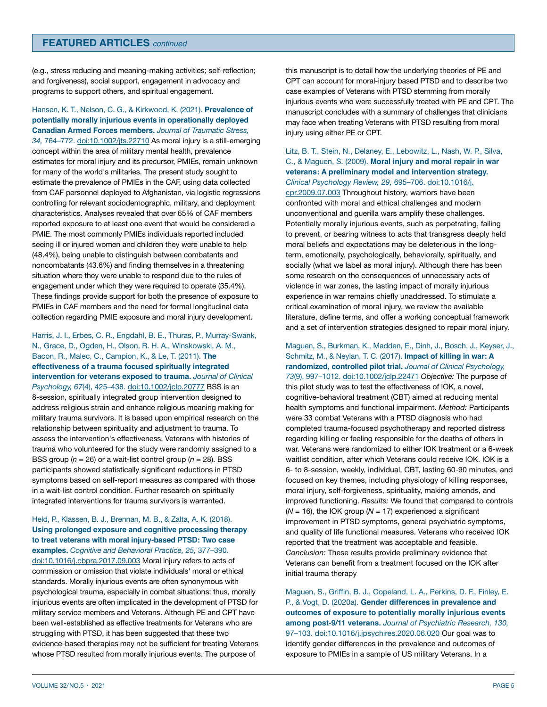## **FEATURED ARTICLES** *continued*

(e.g., stress reducing and meaning-making activities; self-reflection; and forgiveness), social support, engagement in advocacy and programs to support others, and spiritual engagement.

Hansen, K. T., Nelson, C. G., & Kirkwood, K. (2021). **Prevalence of potentially morally injurious events in operationally deployed Canadian Armed Forces members.** *Journal of Traumatic Stress, 34,* 764–772. [doi:10.1002/jts.22710](https://doi.org/10.1002/jts.22710) As moral injury is a still-emerging concept within the area of military mental health, prevalence estimates for moral injury and its precursor, PMIEs, remain unknown for many of the world's militaries. The present study sought to estimate the prevalence of PMIEs in the CAF, using data collected from CAF personnel deployed to Afghanistan, via logistic regressions controlling for relevant sociodemographic, military, and deployment characteristics. Analyses revealed that over 65% of CAF members reported exposure to at least one event that would be considered a PMIE. The most commonly PMIEs individuals reported included seeing ill or injured women and children they were unable to help (48.4%), being unable to distinguish between combatants and noncombatants (43.6%) and finding themselves in a threatening situation where they were unable to respond due to the rules of engagement under which they were required to operate (35.4%). These findings provide support for both the presence of exposure to PMIEs in CAF members and the need for formal longitudinal data collection regarding PMIE exposure and moral injury development.

Harris, J. I., Erbes, C. R., Engdahl, B. E., Thuras, P., Murray-Swank, N., Grace, D., Ogden, H., Olson, R. H. A., Winskowski, A. M., Bacon, R., Malec, C., Campion, K., & Le, T. (2011). **The effectiveness of a trauma focused spiritually integrated intervention for veterans exposed to trauma.** *Journal of Clinical Psychology, 67*(4), 425–438. [doi:10.1002/jclp.20777](https://doi.org/10.1002/jclp.20777 ) BSS is an 8-session, spiritually integrated group intervention designed to address religious strain and enhance religious meaning making for military trauma survivors. It is based upon empirical research on the relationship between spirituality and adjustment to trauma. To assess the intervention's effectiveness, Veterans with histories of trauma who volunteered for the study were randomly assigned to a BSS group (*n* = 26) or a wait-list control group (*n* = 28). BSS participants showed statistically significant reductions in PTSD symptoms based on self-report measures as compared with those in a wait-list control condition. Further research on spiritually integrated interventions for trauma survivors is warranted.

## Held, P., Klassen, B. J., Brennan, M. B., & Zalta, A. K. (2018). **Using prolonged exposure and cognitive processing therapy to treat veterans with moral injury-based PTSD: Two case examples.** *Cognitive and Behavioral Practice, 25,* 377–390. [doi:10.1016/j.cbpra.2017.09.003](https://doi.org/10.1016/j.cbpra.2017.09.003 ) Moral injury refers to acts of commission or omission that violate individuals' moral or ethical standards. Morally injurious events are often synonymous with psychological trauma, especially in combat situations; thus, morally injurious events are often implicated in the development of PTSD for military service members and Veterans. Although PE and CPT have been well-established as effective treatments for Veterans who are struggling with PTSD, it has been suggested that these two evidence-based therapies may not be sufficient for treating Veterans whose PTSD resulted from morally injurious events. The purpose of

this manuscript is to detail how the underlying theories of PE and CPT can account for moral-injury based PTSD and to describe two case examples of Veterans with PTSD stemming from morally injurious events who were successfully treated with PE and CPT. The manuscript concludes with a summary of challenges that clinicians may face when treating Veterans with PTSD resulting from moral injury using either PE or CPT.

### Litz, B. T., Stein, N., Delaney, E., Lebowitz, L., Nash, W. P., Silva, C., & Maguen, S. (2009). **Moral injury and moral repair in war veterans: A preliminary model and intervention strategy.**  *Clinical Psychology Review, 29,* 695–706. [doi:10.1016/j.](https://doi.org/10.1016/j.cpr.2009.07.003)

[cpr.2009.07.003](https://doi.org/10.1016/j.cpr.2009.07.003) Throughout history, warriors have been confronted with moral and ethical challenges and modern unconventional and guerilla wars amplify these challenges. Potentially morally injurious events, such as perpetrating, failing to prevent, or bearing witness to acts that transgress deeply held moral beliefs and expectations may be deleterious in the longterm, emotionally, psychologically, behaviorally, spiritually, and socially (what we label as moral injury). Although there has been some research on the consequences of unnecessary acts of violence in war zones, the lasting impact of morally injurious experience in war remains chiefly unaddressed. To stimulate a critical examination of moral injury, we review the available literature, define terms, and offer a working conceptual framework and a set of intervention strategies designed to repair moral injury.

Maguen, S., Burkman, K., Madden, E., Dinh, J., Bosch, J., Keyser, J., Schmitz, M., & Neylan, T. C. (2017). **Impact of killing in war: A randomized, controlled pilot trial.** *Journal of Clinical Psychology, 73*(9), 997–1012. [doi:10.1002/jclp.22471](https://doi.org/10.1002/jclp.22471) *Objective:* The purpose of this pilot study was to test the effectiveness of IOK, a novel, cognitive-behavioral treatment (CBT) aimed at reducing mental health symptoms and functional impairment. *Method:* Participants were 33 combat Veterans with a PTSD diagnosis who had completed trauma-focused psychotherapy and reported distress regarding killing or feeling responsible for the deaths of others in war. Veterans were randomized to either IOK treatment or a 6-week waitlist condition, after which Veterans could receive IOK. IOK is a 6- to 8-session, weekly, individual, CBT, lasting 60-90 minutes, and focused on key themes, including physiology of killing responses, moral injury, self-forgiveness, spirituality, making amends, and improved functioning. *Results:* We found that compared to controls (*N* = 16), the IOK group (*N* = 17) experienced a significant improvement in PTSD symptoms, general psychiatric symptoms, and quality of life functional measures. Veterans who received IOK reported that the treatment was acceptable and feasible. *Conclusion:* These results provide preliminary evidence that Veterans can benefit from a treatment focused on the IOK after initial trauma therapy

Maguen, S., Griffin, B. J., Copeland, L. A., Perkins, D. F., Finley, E. P., & Vogt, D. (2020a). **Gender differences in prevalence and outcomes of exposure to potentially morally injurious events among post-9/11 veterans.** *Journal of Psychiatric Research, 130,*  97–103. [doi:10.1016/j.jpsychires.2020.06.020](https://doi.org/10.1016/j.jpsychires.2020.06.020) Our goal was to identify gender differences in the prevalence and outcomes of exposure to PMIEs in a sample of US military Veterans. In a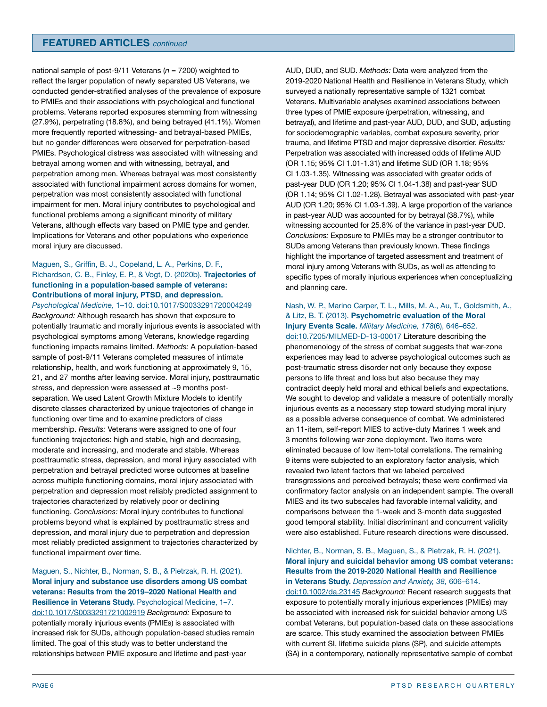national sample of post-9/11 Veterans (*n* = 7200) weighted to reflect the larger population of newly separated US Veterans, we conducted gender-stratified analyses of the prevalence of exposure to PMIEs and their associations with psychological and functional problems. Veterans reported exposures stemming from witnessing (27.9%), perpetrating (18.8%), and being betrayed (41.1%). Women more frequently reported witnessing- and betrayal-based PMIEs, but no gender differences were observed for perpetration-based PMIEs. Psychological distress was associated with witnessing and betrayal among women and with witnessing, betrayal, and perpetration among men. Whereas betrayal was most consistently associated with functional impairment across domains for women, perpetration was most consistently associated with functional impairment for men. Moral injury contributes to psychological and functional problems among a significant minority of military Veterans, although effects vary based on PMIE type and gender. Implications for Veterans and other populations who experience moral injury are discussed.

### Maguen, S., Griffin, B. J., Copeland, L. A., Perkins, D. F., Richardson, C. B., Finley, E. P., & Vogt, D. (2020b). **Trajectories of functioning in a population-based sample of veterans: Contributions of moral injury, PTSD, and depression.**

*Psychological Medicine,* 1–10. [doi:10.1017/S0033291720004249](https://doi.org/10.1017/S0033291720004249) *Background:* Although research has shown that exposure to potentially traumatic and morally injurious events is associated with psychological symptoms among Veterans, knowledge regarding functioning impacts remains limited. *Methods:* A population-based sample of post-9/11 Veterans completed measures of intimate relationship, health, and work functioning at approximately 9, 15, 21, and 27 months after leaving service. Moral injury, posttraumatic stress, and depression were assessed at ~9 months postseparation. We used Latent Growth Mixture Models to identify discrete classes characterized by unique trajectories of change in functioning over time and to examine predictors of class membership. *Results:* Veterans were assigned to one of four functioning trajectories: high and stable, high and decreasing, moderate and increasing, and moderate and stable. Whereas posttraumatic stress, depression, and moral injury associated with perpetration and betrayal predicted worse outcomes at baseline across multiple functioning domains, moral injury associated with perpetration and depression most reliably predicted assignment to trajectories characterized by relatively poor or declining functioning. *Conclusions:* Moral injury contributes to functional problems beyond what is explained by posttraumatic stress and depression, and moral injury due to perpetration and depression most reliably predicted assignment to trajectories characterized by functional impairment over time.

Maguen, S., Nichter, B., Norman, S. B., & Pietrzak, R. H. (2021). **Moral injury and substance use disorders among US combat veterans: Results from the 2019–2020 National Health and Resilience in Veterans Study.** Psychological Medicine, 1–7. [doi:10.1017/S0033291721002919](https://doi.org/10.1017/S0033291721002919) *Background:* Exposure to potentially morally injurious events (PMIEs) is associated with increased risk for SUDs, although population-based studies remain limited. The goal of this study was to better understand the relationships between PMIE exposure and lifetime and past-year

AUD, DUD, and SUD. *Methods:* Data were analyzed from the 2019-2020 National Health and Resilience in Veterans Study, which surveyed a nationally representative sample of 1321 combat Veterans. Multivariable analyses examined associations between three types of PMIE exposure (perpetration, witnessing, and betrayal), and lifetime and past-year AUD, DUD, and SUD, adjusting for sociodemographic variables, combat exposure severity, prior trauma, and lifetime PTSD and major depressive disorder. *Results:*  Perpetration was associated with increased odds of lifetime AUD (OR 1.15; 95% CI 1.01-1.31) and lifetime SUD (OR 1.18; 95% CI 1.03-1.35). Witnessing was associated with greater odds of past-year DUD (OR 1.20; 95% CI 1.04-1.38) and past-year SUD (OR 1.14; 95% CI 1.02-1.28). Betrayal was associated with past-year AUD (OR 1.20; 95% CI 1.03-1.39). A large proportion of the variance in past-year AUD was accounted for by betrayal (38.7%), while witnessing accounted for 25.8% of the variance in past-year DUD. *Conclusions:* Exposure to PMIEs may be a stronger contributor to SUDs among Veterans than previously known. These findings highlight the importance of targeted assessment and treatment of moral injury among Veterans with SUDs, as well as attending to specific types of morally injurious experiences when conceptualizing and planning care.

## Nash, W. P., Marino Carper, T. L., Mills, M. A., Au, T., Goldsmith, A., & Litz, B. T. (2013). **Psychometric evaluation of the Moral Injury Events Scale.** *Military Medicine, 178*(6), 646–652.

[doi:10.7205/MILMED-D-13-00017](https://doi.org/10.7205/MILMED-D-13-00017) Literature describing the phenomenology of the stress of combat suggests that war-zone experiences may lead to adverse psychological outcomes such as post-traumatic stress disorder not only because they expose persons to life threat and loss but also because they may contradict deeply held moral and ethical beliefs and expectations. We sought to develop and validate a measure of potentially morally injurious events as a necessary step toward studying moral injury as a possible adverse consequence of combat. We administered an 11-item, self-report MIES to active-duty Marines 1 week and 3 months following war-zone deployment. Two items were eliminated because of low item-total correlations. The remaining 9 items were subjected to an exploratory factor analysis, which revealed two latent factors that we labeled perceived transgressions and perceived betrayals; these were confirmed via confirmatory factor analysis on an independent sample. The overall MIES and its two subscales had favorable internal validity, and comparisons between the 1-week and 3-month data suggested good temporal stability. Initial discriminant and concurrent validity were also established. Future research directions were discussed.

### Nichter, B., Norman, S. B., Maguen, S., & Pietrzak, R. H. (2021). **Moral injury and suicidal behavior among US combat veterans: Results from the 2019-2020 National Health and Resilience in Veterans Study.** *Depression and Anxiety, 38,* 606–614.

[doi:10.1002/da.23145](https://doi.org/10.1002/da.23145) *Background:* Recent research suggests that exposure to potentially morally injurious experiences (PMIEs) may be associated with increased risk for suicidal behavior among US combat Veterans, but population-based data on these associations are scarce. This study examined the association between PMIEs with current SI, lifetime suicide plans (SP), and suicide attempts (SA) in a contemporary, nationally representative sample of combat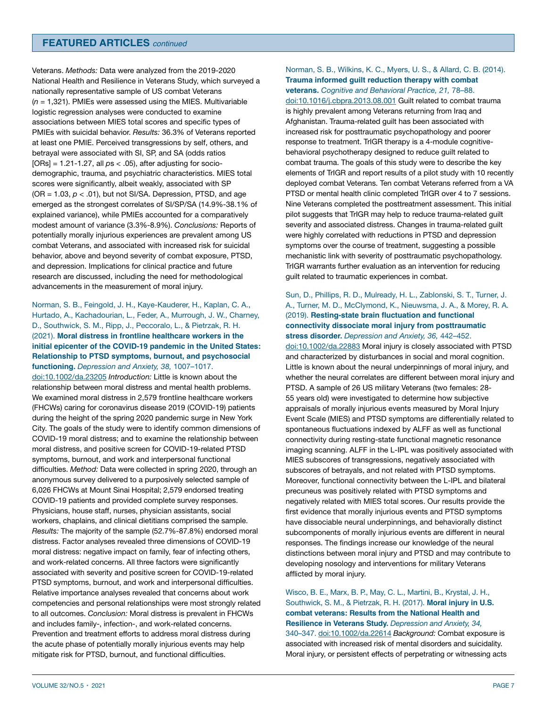Veterans. *Methods:* Data were analyzed from the 2019-2020 National Health and Resilience in Veterans Study, which surveyed a nationally representative sample of US combat Veterans (*n* = 1,321). PMIEs were assessed using the MIES. Multivariable logistic regression analyses were conducted to examine associations between MIES total scores and specific types of PMIEs with suicidal behavior. *Results:* 36.3% of Veterans reported at least one PMIE. Perceived transgressions by self, others, and betrayal were associated with SI, SP, and SA (odds ratios [ORs] = 1.21-1.27, all *p*s < .05), after adjusting for sociodemographic, trauma, and psychiatric characteristics. MIES total scores were significantly, albeit weakly, associated with SP (OR = 1.03, *p* < .01), but not SI/SA. Depression, PTSD, and age emerged as the strongest correlates of SI/SP/SA (14.9%-38.1% of explained variance), while PMIEs accounted for a comparatively modest amount of variance (3.3%-8.9%). *Conclusions:* Reports of potentially morally injurious experiences are prevalent among US combat Veterans, and associated with increased risk for suicidal behavior, above and beyond severity of combat exposure, PTSD, and depression. Implications for clinical practice and future research are discussed, including the need for methodological advancements in the measurement of moral injury.

## Norman, S. B., Feingold, J. H., Kaye-Kauderer, H., Kaplan, C. A., Hurtado, A., Kachadourian, L., Feder, A., Murrough, J. W., Charney, D., Southwick, S. M., Ripp, J., Peccoralo, L., & Pietrzak, R. H. (2021). **Moral distress in frontline healthcare workers in the initial epicenter of the COVID-19 pandemic in the United States: Relationship to PTSD symptoms, burnout, and psychosocial functioning.** *Depression and Anxiety, 38,* 1007–1017. [doi:10.1002/da.23205](https://doi.org/10.1002/da.23205) *Introduction:* Little is known about the relationship between moral distress and mental health problems. We examined moral distress in 2,579 frontline healthcare workers (FHCWs) caring for coronavirus disease 2019 (COVID-19) patients during the height of the spring 2020 pandemic surge in New York City. The goals of the study were to identify common dimensions of COVID-19 moral distress; and to examine the relationship between moral distress, and positive screen for COVID-19-related PTSD symptoms, burnout, and work and interpersonal functional difficulties. *Method:* Data were collected in spring 2020, through an anonymous survey delivered to a purposively selected sample of 6,026 FHCWs at Mount Sinai Hospital; 2,579 endorsed treating COVID-19 patients and provided complete survey responses. Physicians, house staff, nurses, physician assistants, social workers, chaplains, and clinical dietitians comprised the sample. *Results:* The majority of the sample (52.7%-87.8%) endorsed moral distress. Factor analyses revealed three dimensions of COVID-19 moral distress: negative impact on family, fear of infecting others, and work-related concerns. All three factors were significantly associated with severity and positive screen for COVID-19-related PTSD symptoms, burnout, and work and interpersonal difficulties. Relative importance analyses revealed that concerns about work competencies and personal relationships were most strongly related to all outcomes. *Conclusion:* Moral distress is prevalent in FHCWs and includes family-, infection-, and work-related concerns. Prevention and treatment efforts to address moral distress during the acute phase of potentially morally injurious events may help mitigate risk for PTSD, burnout, and functional difficulties.

### Norman, S. B., Wilkins, K. C., Myers, U. S., & Allard, C. B. (2014). **Trauma informed guilt reduction therapy with combat veterans.** *Cognitive and Behavioral Practice, 21,* 78–88.

[doi:10.1016/j.cbpra.2013.08.001](https://doi.org/10.1016/j.cbpra.2013.08.001) Guilt related to combat trauma is highly prevalent among Veterans returning from Iraq and Afghanistan. Trauma-related guilt has been associated with increased risk for posttraumatic psychopathology and poorer response to treatment. TrIGR therapy is a 4-module cognitivebehavioral psychotherapy designed to reduce guilt related to combat trauma. The goals of this study were to describe the key elements of TrIGR and report results of a pilot study with 10 recently deployed combat Veterans. Ten combat Veterans referred from a VA PTSD or mental health clinic completed TrIGR over 4 to 7 sessions. Nine Veterans completed the posttreatment assessment. This initial pilot suggests that TrIGR may help to reduce trauma-related guilt severity and associated distress. Changes in trauma-related guilt were highly correlated with reductions in PTSD and depression symptoms over the course of treatment, suggesting a possible mechanistic link with severity of posttraumatic psychopathology. TrIGR warrants further evaluation as an intervention for reducing guilt related to traumatic experiences in combat.

### Sun, D., Phillips, R. D., Mulready, H. L., Zablonski, S. T., Turner, J. A., Turner, M. D., McClymond, K., Nieuwsma, J. A., & Morey, R. A. (2019). **Resting-state brain fluctuation and functional connectivity dissociate moral injury from posttraumatic stress disorder.** *Depression and Anxiety, 36,* 442–452.

[doi:10.1002/da.22883](https://doi.org/10.1002/da.22883) Moral injury is closely associated with PTSD and characterized by disturbances in social and moral cognition. Little is known about the neural underpinnings of moral injury, and whether the neural correlates are different between moral injury and PTSD. A sample of 26 US military Veterans (two females: 28- 55 years old) were investigated to determine how subjective appraisals of morally injurious events measured by Moral Injury Event Scale (MIES) and PTSD symptoms are differentially related to spontaneous fluctuations indexed by ALFF as well as functional connectivity during resting-state functional magnetic resonance imaging scanning. ALFF in the L-IPL was positively associated with MIES subscores of transgressions, negatively associated with subscores of betrayals, and not related with PTSD symptoms. Moreover, functional connectivity between the L-IPL and bilateral precuneus was positively related with PTSD symptoms and negatively related with MIES total scores. Our results provide the first evidence that morally injurious events and PTSD symptoms have dissociable neural underpinnings, and behaviorally distinct subcomponents of morally injurious events are different in neural responses. The findings increase our knowledge of the neural distinctions between moral injury and PTSD and may contribute to developing nosology and interventions for military Veterans afflicted by moral injury.

Wisco, B. E., Marx, B. P., May, C. L., Martini, B., Krystal, J. H., Southwick, S. M., & Pietrzak, R. H. (2017). **Moral injury in U.S. combat veterans: Results from the National Health and Resilience in Veterans Study.** *Depression and Anxiety, 34,*  340–347. [doi:10.1002/da.22614](https://doi.org/10.1002/da.22614) *Background:* Combat exposure is associated with increased risk of mental disorders and suicidality. Moral injury, or persistent effects of perpetrating or witnessing acts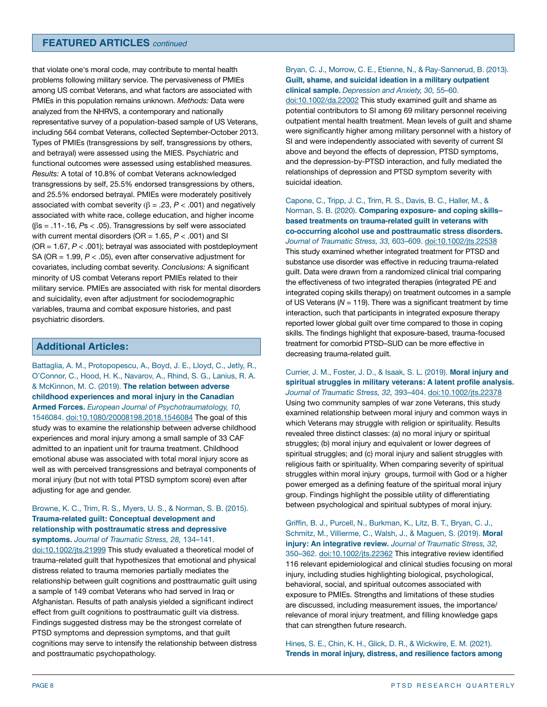that violate one's moral code, may contribute to mental health problems following military service. The pervasiveness of PMIEs among US combat Veterans, and what factors are associated with PMIEs in this population remains unknown. *Methods:* Data were analyzed from the NHRVS, a contemporary and nationally representative survey of a population-based sample of US Veterans, including 564 combat Veterans, collected September-October 2013. Types of PMIEs (transgressions by self, transgressions by others, and betrayal) were assessed using the MIES. Psychiatric and functional outcomes were assessed using established measures. *Results:* A total of 10.8% of combat Veterans acknowledged transgressions by self, 25.5% endorsed transgressions by others, and 25.5% endorsed betrayal. PMIEs were moderately positively associated with combat severity  $(β = .23, P < .001)$  and negatively associated with white race, college education, and higher income (βs = .11-.16, *P*s < .05). Transgressions by self were associated with current mental disorders (OR = 1.65, *P* < .001) and SI (OR = 1.67, *P* < .001); betrayal was associated with postdeployment SA (OR = 1.99, *P* < .05), even after conservative adjustment for covariates, including combat severity. *Conclusions:* A significant minority of US combat Veterans report PMIEs related to their military service. PMIEs are associated with risk for mental disorders and suicidality, even after adjustment for sociodemographic variables, trauma and combat exposure histories, and past psychiatric disorders.

# **Additional Articles:**

Battaglia, A. M., Protopopescu, A., Boyd, J. E., Lloyd, C., Jetly, R., O'Connor, C., Hood, H. K., Navarov, A., Rhind, S. G., Lanius, R. A. & McKinnon, M. C. (2019). **The relation between adverse childhood experiences and moral injury in the Canadian Armed Forces.** *European Journal of Psychotraumatology, 10,*  1546084. [doi:10.1080/20008198.2018.1546084](https://doi.org/10.1080/20008198.2018.1546084 ) The goal of this study was to examine the relationship between adverse childhood experiences and moral injury among a small sample of 33 CAF admitted to an inpatient unit for trauma treatment. Childhood emotional abuse was associated with total moral injury score as well as with perceived transgressions and betrayal components of moral injury (but not with total PTSD symptom score) even after adjusting for age and gender.

# Browne, K. C., Trim, R. S., Myers, U. S., & Norman, S. B. (2015). **Trauma‐related guilt: Conceptual development and relationship with posttraumatic stress and depressive**

**symptoms.** *Journal of Traumatic Stress, 28,* 134–141. [doi:10.1002/jts.21999](https://doi.org/10.1002/jts.21999) This study evaluated a theoretical model of trauma-related guilt that hypothesizes that emotional and physical distress related to trauma memories partially mediates the relationship between guilt cognitions and posttraumatic guilt using a sample of 149 combat Veterans who had served in Iraq or Afghanistan. Results of path analysis yielded a significant indirect effect from guilt cognitions to posttraumatic guilt via distress. Findings suggested distress may be the strongest correlate of PTSD symptoms and depression symptoms, and that guilt cognitions may serve to intensify the relationship between distress and posttraumatic psychopathology.

### Bryan, C. J., Morrow, C. E., Etienne, N., & Ray-Sannerud, B. (2013). **Guilt, shame, and suicidal ideation in a military outpatient clinical sample.** *Depression and Anxiety, 30,* 55–60.

[doi:10.1002/da.22002](https://doi.org/10.1002/da.22002) This study examined guilt and shame as potential contributors to SI among 69 military personnel receiving outpatient mental health treatment. Mean levels of guilt and shame were significantly higher among military personnel with a history of SI and were independently associated with severity of current SI above and beyond the effects of depression, PTSD symptoms, and the depression-by-PTSD interaction, and fully mediated the relationships of depression and PTSD symptom severity with suicidal ideation.

Capone, C., Tripp, J. C., Trim, R. S., Davis, B. C., Haller, M., & Norman, S. B. (2020). **Comparing exposure- and coping skills– based treatments on trauma-related guilt in veterans with co-occurring alcohol use and posttraumatic stress disorders.**  *Journal of Traumatic Stress, 33,* 603–609. [doi:10.1002/jts.22538](https://doi.org/10.1002/jts.22538) This study examined whether integrated treatment for PTSD and substance use disorder was effective in reducing trauma-related guilt. Data were drawn from a randomized clinical trial comparing the effectiveness of two integrated therapies (integrated PE and integrated coping skills therapy) on treatment outcomes in a sample of US Veterans ( $N = 119$ ). There was a significant treatment by time interaction, such that participants in integrated exposure therapy reported lower global guilt over time compared to those in coping skills. The findings highlight that exposure-based, trauma-focused treatment for comorbid PTSD–SUD can be more effective in decreasing trauma-related guilt.

### Currier, J. M., Foster, J. D., & Isaak, S. L. (2019). **Moral injury and spiritual struggles in military veterans: A latent profile analysis.**  *Journal of Traumatic Stress, 32,* 393–404. [doi:10.1002/jts.22378](https://doi.org/10.1002/jts.22378)

Using two community samples of war zone Veterans, this study examined relationship between moral injury and common ways in which Veterans may struggle with religion or spirituality. Results revealed three distinct classes: (a) no moral injury or spiritual struggles; (b) moral injury and equivalent or lower degrees of spiritual struggles; and (c) moral injury and salient struggles with religious faith or spirituality. When comparing severity of spiritual struggles within moral injury groups, turmoil with God or a higher power emerged as a defining feature of the spiritual moral injury group. Findings highlight the possible utility of differentiating between psychological and spiritual subtypes of moral injury.

Griffin, B. J., Purcell, N., Burkman, K., Litz, B. T., Bryan, C. J., Schmitz, M., Villierme, C., Walsh, J., & Maguen, S. (2019). **Moral injury: An integrative review.** *Journal of Traumatic Stress, 32,*  350–362. [doi:10.1002/jts.22362](https://doi.org/10.1002/jts.22362) This integrative review identified 116 relevant epidemiological and clinical studies focusing on moral injury, including studies highlighting biological, psychological, behavioral, social, and spiritual outcomes associated with exposure to PMIEs. Strengths and limitations of these studies are discussed, including measurement issues, the importance/ relevance of moral injury treatment, and filling knowledge gaps that can strengthen future research.

Hines, S. E., Chin, K. H., Glick, D. R., & Wickwire, E. M. (2021). **Trends in moral injury, distress, and resilience factors among**